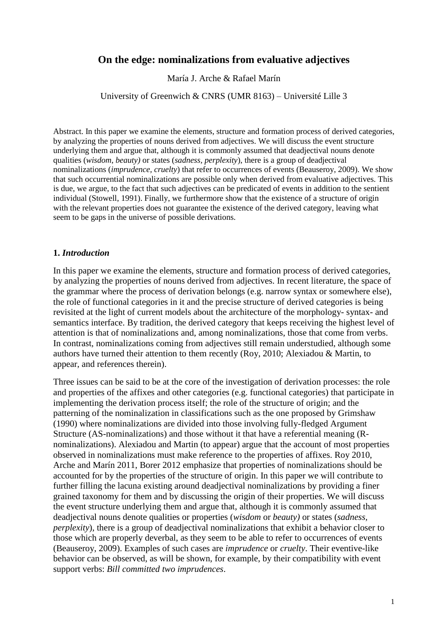# **On the edge: nominalizations from evaluative adjectives**

María J. Arche & Rafael Marín

University of Greenwich & CNRS (UMR 8163) – Université Lille 3

Abstract. In this paper we examine the elements, structure and formation process of derived categories, by analyzing the properties of nouns derived from adjectives. We will discuss the event structure underlying them and argue that, although it is commonly assumed that deadjectival nouns denote qualities (*wisdom*, *beauty)* or states (*sadness, perplexity*), there is a group of deadjectival nominalizations (*imprudence, cruelty*) that refer to occurrences of events (Beauseroy, 2009). We show that such occurrential nominalizations are possible only when derived from evaluative adjectives. This is due, we argue, to the fact that such adjectives can be predicated of events in addition to the sentient individual (Stowell, 1991). Finally, we furthermore show that the existence of a structure of origin with the relevant properties does not guarantee the existence of the derived category, leaving what seem to be gaps in the universe of possible derivations.

#### **1.** *Introduction*

In this paper we examine the elements, structure and formation process of derived categories, by analyzing the properties of nouns derived from adjectives. In recent literature, the space of the grammar where the process of derivation belongs (e.g. narrow syntax or somewhere else), the role of functional categories in it and the precise structure of derived categories is being revisited at the light of current models about the architecture of the morphology- syntax- and semantics interface. By tradition, the derived category that keeps receiving the highest level of attention is that of nominalizations and, among nominalizations, those that come from verbs. In contrast, nominalizations coming from adjectives still remain understudied, although some authors have turned their attention to them recently (Roy, 2010; Alexiadou & Martin, to appear, and references therein).

Three issues can be said to be at the core of the investigation of derivation processes: the role and properties of the affixes and other categories (e.g. functional categories) that participate in implementing the derivation process itself; the role of the structure of origin; and the patterning of the nominalization in classifications such as the one proposed by Grimshaw (1990) where nominalizations are divided into those involving fully-fledged Argument Structure (AS-nominalizations) and those without it that have a referential meaning (Rnominalizations). Alexiadou and Martin (to appear) argue that the account of most properties observed in nominalizations must make reference to the properties of affixes. Roy 2010, Arche and Marín 2011, Borer 2012 emphasize that properties of nominalizations should be accounted for by the properties of the structure of origin. In this paper we will contribute to further filling the lacuna existing around deadjectival nominalizations by providing a finer grained taxonomy for them and by discussing the origin of their properties. We will discuss the event structure underlying them and argue that, although it is commonly assumed that deadjectival nouns denote qualities or properties (*wisdom* or *beauty)* or states (*sadness, perplexity*), there is a group of deadjectival nominalizations that exhibit a behavior closer to those which are properly deverbal, as they seem to be able to refer to occurrences of events (Beauseroy, 2009). Examples of such cases are *imprudence* or *cruelty*. Their eventive-like behavior can be observed, as will be shown, for example, by their compatibility with event support verbs: *Bill committed two imprudences*.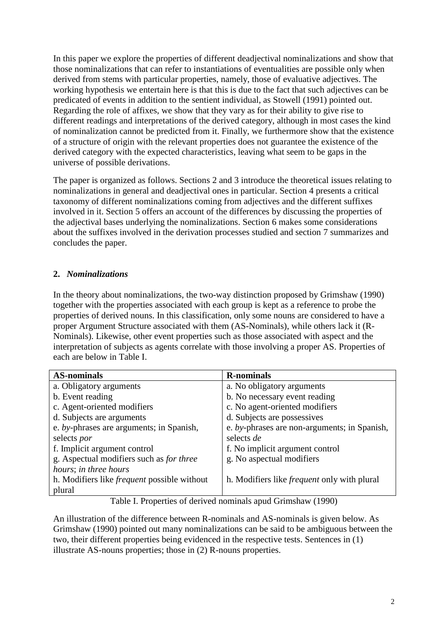In this paper we explore the properties of different deadjectival nominalizations and show that those nominalizations that can refer to instantiations of eventualities are possible only when derived from stems with particular properties, namely, those of evaluative adjectives. The working hypothesis we entertain here is that this is due to the fact that such adjectives can be predicated of events in addition to the sentient individual, as Stowell (1991) pointed out. Regarding the role of affixes, we show that they vary as for their ability to give rise to different readings and interpretations of the derived category, although in most cases the kind of nominalization cannot be predicted from it. Finally, we furthermore show that the existence of a structure of origin with the relevant properties does not guarantee the existence of the derived category with the expected characteristics, leaving what seem to be gaps in the universe of possible derivations.

The paper is organized as follows. Sections 2 and 3 introduce the theoretical issues relating to nominalizations in general and deadjectival ones in particular. Section 4 presents a critical taxonomy of different nominalizations coming from adjectives and the different suffixes involved in it. Section 5 offers an account of the differences by discussing the properties of the adjectival bases underlying the nominalizations. Section 6 makes some considerations about the suffixes involved in the derivation processes studied and section 7 summarizes and concludes the paper.

## **2.** *Nominalizations*

In the theory about nominalizations, the two-way distinction proposed by Grimshaw (1990) together with the properties associated with each group is kept as a reference to probe the properties of derived nouns. In this classification, only some nouns are considered to have a proper Argument Structure associated with them (AS-Nominals), while others lack it (R-Nominals). Likewise, other event properties such as those associated with aspect and the interpretation of subjects as agents correlate with those involving a proper AS. Properties of each are below in Table I.

| <b>AS-nominals</b>                                 | <b>R-nominals</b>                                  |
|----------------------------------------------------|----------------------------------------------------|
| a. Obligatory arguments                            | a. No obligatory arguments                         |
| b. Event reading                                   | b. No necessary event reading                      |
| c. Agent-oriented modifiers                        | c. No agent-oriented modifiers                     |
| d. Subjects are arguments                          | d. Subjects are possessives                        |
| e. by-phrases are arguments; in Spanish,           | e. by-phrases are non-arguments; in Spanish,       |
| selects por                                        | selects de                                         |
| f. Implicit argument control                       | f. No implicit argument control                    |
| g. Aspectual modifiers such as <i>for three</i>    | g. No aspectual modifiers                          |
| hours; in three hours                              |                                                    |
| h. Modifiers like <i>frequent</i> possible without | h. Modifiers like <i>frequent</i> only with plural |
| plural                                             |                                                    |

Table I. Properties of derived nominals apud Grimshaw (1990)

An illustration of the difference between R-nominals and AS-nominals is given below. As Grimshaw (1990) pointed out many nominalizations can be said to be ambiguous between the two, their different properties being evidenced in the respective tests. Sentences in (1) illustrate AS-nouns properties; those in (2) R-nouns properties.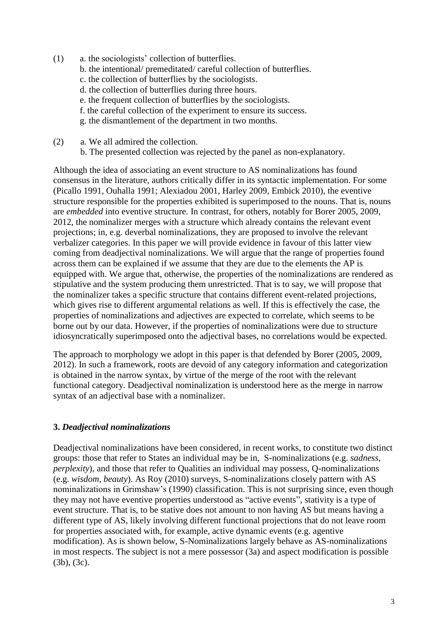- (1) a. the sociologists' collection of butterflies.
	- b. the intentional/ premeditated/ careful collection of butterflies.
	- c. the collection of butterflies by the sociologists.
	- d. the collection of butterflies during three hours.
	- e. the frequent collection of butterflies by the sociologists.
	- f. the careful collection of the experiment to ensure its success.
	- g. the dismantlement of the department in two months.
- (2) a. We all admired the collection.
	- b. The presented collection was rejected by the panel as non-explanatory.

Although the idea of associating an event structure to AS nominalizations has found consensus in the literature, authors critically differ in its syntactic implementation. For some (Picallo 1991, Ouhalla 1991; Alexiadou 2001, Harley 2009, Embick 2010), the eventive structure responsible for the properties exhibited is superimposed to the nouns. That is, nouns are *embedded* into eventive structure. In contrast, for others, notably for Borer 2005, 2009, 2012, the nominalizer merges with a structure which already contains the relevant event projections; in, e.g. deverbal nominalizations, they are proposed to involve the relevant verbalizer categories. In this paper we will provide evidence in favour of this latter view coming from deadjectival nominalizations. We will argue that the range of properties found across them can be explained if we assume that they are due to the elements the AP is equipped with. We argue that, otherwise, the properties of the nominalizations are rendered as stipulative and the system producing them unrestricted. That is to say, we will propose that the nominalizer takes a specific structure that contains different event-related projections, which gives rise to different argumental relations as well. If this is effectively the case, the properties of nominalizations and adjectives are expected to correlate, which seems to be borne out by our data. However, if the properties of nominalizations were due to structure idiosyncratically superimposed onto the adjectival bases, no correlations would be expected.

The approach to morphology we adopt in this paper is that defended by Borer (2005, 2009, 2012). In such a framework, roots are devoid of any category information and categorization is obtained in the narrow syntax, by virtue of the merge of the root with the relevant functional category. Deadjectival nominalization is understood here as the merge in narrow syntax of an adjectival base with a nominalizer.

## **3.** *Deadjectival nominalizations*

Deadjectival nominalizations have been considered, in recent works, to constitute two distinct groups: those that refer to States an individual may be in, S-nominalizations (e.g. *sadness*, *perplexity*), and those that refer to Qualities an individual may possess, Q-nominalizations (e.g. *wisdom*, *beauty*). As Roy (2010) surveys, S-nominalizations closely pattern with AS nominalizations in Grimshaw's (1990) classification. This is not surprising since, even though they may not have eventive properties understood as "active events", stativity is a type of event structure. That is, to be stative does not amount to non having AS but means having a different type of AS, likely involving different functional projections that do not leave room for properties associated with, for example, active dynamic events (e.g. agentive modification). As is shown below, S-Nominalizations largely behave as AS-nominalizations in most respects. The subject is not a mere possessor (3a) and aspect modification is possible (3b), (3c).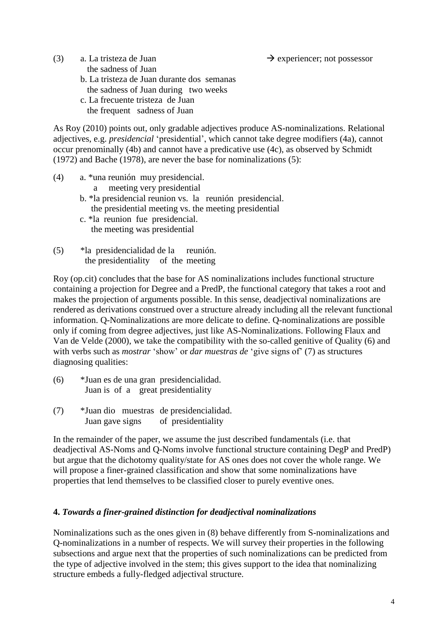(3) a. La tristeza de Juan  $\rightarrow$  experiencer; not possessor the sadness of Juan b. La tristeza de Juan durante dos semanas the sadness of Juan during two weeks c. La frecuente tristeza de Juan the frequent sadness of Juan

As Roy (2010) points out, only gradable adjectives produce AS-nominalizations. Relational adjectives, e.g. *presidencial* 'presidential', which cannot take degree modifiers (4a), cannot occur prenominally (4b) and cannot have a predicative use (4c), as observed by Schmidt (1972) and Bache (1978), are never the base for nominalizations [\(5\):](#page-3-0)

- (4) a. \*una reunión muy presidencial.
	- a meeting very presidential
	- b. \*la presidencial reunion vs. la reunión presidencial. the presidential meeting vs. the meeting presidential
	- c. \*la reunion fue presidencial. the meeting was presidential
- <span id="page-3-0"></span>(5) \*la presidencialidad de la reunión. the presidentiality of the meeting

Roy (op.cit) concludes that the base for AS nominalizations includes functional structure containing a projection for Degree and a PredP, the functional category that takes a root and makes the projection of arguments possible. In this sense, deadjectival nominalizations are rendered as derivations construed over a structure already including all the relevant functional information. Q-Nominalizations are more delicate to define. Q-nominalizations are possible only if coming from degree adjectives, just like AS-Nominalizations. Following Flaux and Van de Velde (2000), we take the compatibility with the so-called genitive of Quality [\(6\)](#page-3-1) and with verbs such as *mostrar* 'show' or *dar muestras de* 'give signs of' [\(7\)](#page-3-2) as structures diagnosing qualities:

- <span id="page-3-1"></span>(6) \*Juan es de una gran presidencialidad. Juan is of a great presidentiality
- <span id="page-3-2"></span>(7) \*Juan dio muestras de presidencialidad. Juan gave signs of presidentiality

In the remainder of the paper, we assume the just described fundamentals (i.e. that deadjectival AS-Noms and Q-Noms involve functional structure containing DegP and PredP) but argue that the dichotomy quality/state for AS ones does not cover the whole range. We will propose a finer-grained classification and show that some nominalizations have properties that lend themselves to be classified closer to purely eventive ones.

## **4.** *Towards a finer-grained distinction for deadjectival nominalizations*

Nominalizations such as the ones given in [\(8\)](#page-4-0) behave differently from S-nominalizations and Q-nominalizations in a number of respects. We will survey their properties in the following subsections and argue next that the properties of such nominalizations can be predicted from the type of adjective involved in the stem; this gives support to the idea that nominalizing structure embeds a fully-fledged adjectival structure.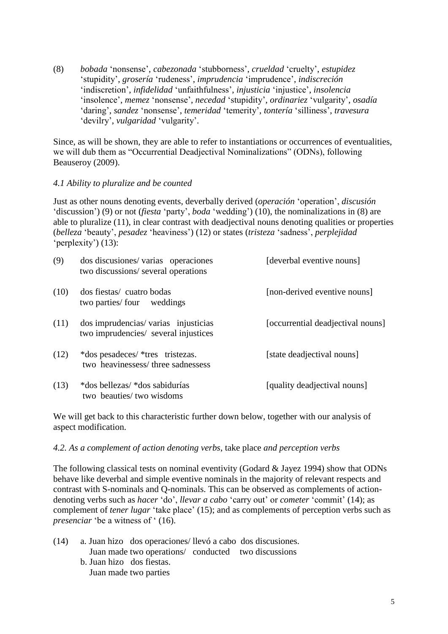<span id="page-4-0"></span>(8) *bobada* 'nonsense', *cabezonada* 'stubborness', *crueldad* 'cruelty', *estupidez* 'stupidity', *grosería* 'rudeness', *imprudencia* 'imprudence', *indiscreción* 'indiscretion', *infidelidad* 'unfaithfulness', *injusticia* 'injustice', *insolencia* 'insolence', *memez* 'nonsense', *necedad* 'stupidity', *ordinariez* 'vulgarity', *osadía* 'daring', *sandez* 'nonsense', *temeridad* 'temerity', *tontería* 'silliness', *travesura* 'devilry', *vulgaridad* 'vulgarity'.

Since, as will be shown, they are able to refer to instantiations or occurrences of eventualities, we will dub them as "Occurrential Deadjectival Nominalizations" (ODNs), following Beauseroy (2009).

### *4.1 Ability to pluralize and be counted*

Just as other nouns denoting events, deverbally derived (*operación* 'operation', *discusión* 'discussion') [\(9\)](#page-4-1) or not (*fiesta* 'party', *boda* 'wedding') [\(10\),](#page-4-2) the nominalizations in [\(8\)](#page-4-0) are able to pluralize [\(11\),](#page-4-3) in clear contrast with deadjectival nouns denoting qualities or properties (*belleza* 'beauty', *pesadez* 'heaviness') [\(12\)](#page-4-4) or states (*tristeza* 'sadness', *perplejidad* 'perplexity') [\(13\):](#page-4-5)

<span id="page-4-3"></span><span id="page-4-2"></span><span id="page-4-1"></span>

| (9)  | dos discusiones/varias operaciones<br>two discussions/several operations    | [deverbal eventive nouns]         |
|------|-----------------------------------------------------------------------------|-----------------------------------|
| (10) | dos fiestas/ cuatro bodas<br>two parties/ four weddings                     | [non-derived eventive nouns]      |
| (11) | dos imprudencias/varias injusticias<br>two imprudencies/ several injustices | [occurrential deadjectival nouns] |
| (12) | *dos pesadeces/ *tres tristezas.<br>two heavinessess/three sadnessess       | [state deadjectival nouns]        |
| (13) | *dos bellezas/ *dos sabidurías<br>two beauties/ two wisdoms                 | [quality deadjectival nouns]      |

<span id="page-4-5"></span><span id="page-4-4"></span>We will get back to this characteristic further down below, together with our analysis of aspect modification.

### *4.2. As a complement of action denoting verbs*, take place *and perception verbs*

The following classical tests on nominal eventivity (Godard & Jayez 1994) show that ODNs behave like deverbal and simple eventive nominals in the majority of relevant respects and contrast with S-nominals and Q-nominals. This can be observed as complements of actiondenoting verbs such as *hacer* 'do', *llevar a cabo* 'carry out' or *cometer* 'commit' [\(14\);](#page-4-6) as complement of *tener lugar* 'take place' [\(15\);](#page-5-0) and as complements of perception verbs such as *presenciar* 'be a witness of ' [\(16\).](#page-5-1)

<span id="page-4-6"></span>(14) a. Juan hizo dos operaciones/ llevó a cabo dos discusiones. Juan made two operations/ conducted two discussions b. Juan hizo dos fiestas. Juan made two parties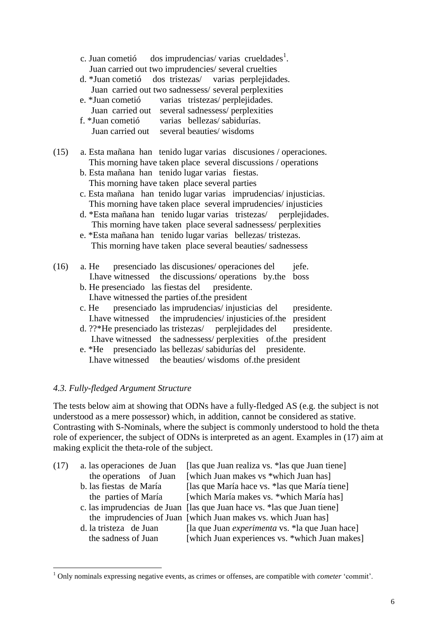c. Juan cometió dos imprudencias/varias crueldades<sup>1</sup>. Juan carried out two imprudencies/ several cruelties

- d. \*Juan cometió dos tristezas/ varias perplejidades. Juan carried out two sadnessess/ several perplexities
- e. \*Juan cometió varias tristezas/ perplejidades.
- Juan carried out several sadnessess/ perplexities
- f. \*Juan cometió varias bellezas/ sabidurías. Juan carried out several beauties/ wisdoms
- <span id="page-5-0"></span>(15) a. Esta mañana han tenido lugar varias discusiones / operaciones. This morning have taken place several discussions / operations
	- b. Esta mañana han tenido lugar varias fiestas. This morning have taken place several parties
	- c. Esta mañana han tenido lugar varias imprudencias/ injusticias. This morning have taken place several imprudencies/ injusticies
	- d. \*Esta mañana han tenido lugar varias tristezas/ perplejidades. This morning have taken place several sadnessess/ perplexities
	- e. \*Esta mañana han tenido lugar varias bellezas/ tristezas. This morning have taken place several beauties/ sadnessess
- <span id="page-5-1"></span>(16) a. He presenciado las discusiones/ operaciones del jefe. I.have witnessed the discussions/ operations by.the boss
	- b. He presenciado las fiestas del presidente. I.have witnessed the parties of.the president
	- c. He presenciado las imprudencias/ injusticias del presidente. I.have witnessed the imprudencies/ injusticies of.the president
	- d. ??\*He presenciado las tristezas/ perplejidades del presidente. I.have witnessed the sadnessess/ perplexities of.the president
	- e. \*He presenciado las bellezas/ sabidurías del presidente. I.have witnessed the beauties/ wisdoms of.the president

### *4.3. Fully-fledged Argument Structure*

**.** 

The tests below aim at showing that ODNs have a fully-fledged AS (e.g. the subject is not understood as a mere possessor) which, in addition, cannot be considered as stative. Contrasting with S-Nominals, where the subject is commonly understood to hold the theta role of experiencer, the subject of ODNs is interpreted as an agent. Examples in [\(17\)](#page-5-2) aim at making explicit the theta-role of the subject.

<span id="page-5-2"></span>

| (17) | a. las operaciones de Juan | [las que Juan realiza vs. * las que Juan tiene]                          |
|------|----------------------------|--------------------------------------------------------------------------|
|      | the operations of Juan     | [which Juan makes vs *which Juan has]                                    |
|      | b. las fiestas de María    | [las que María hace vs. * las que María tiene]                           |
|      | the parties of María       | [which María makes vs. *which María has]                                 |
|      |                            | c. las imprudencias de Juan [las que Juan hace vs. * las que Juan tiene] |
|      |                            | the imprudencies of Juan [which Juan makes vs. which Juan has]           |
|      | d. la tristeza de Juan     | [la que Juan <i>experimenta</i> vs. *la que Juan hace]                   |
|      | the sadness of Juan        | [which Juan experiences vs. *which Juan makes]                           |

<sup>1</sup> Only nominals expressing negative events, as crimes or offenses, are compatible with *cometer* 'commit'.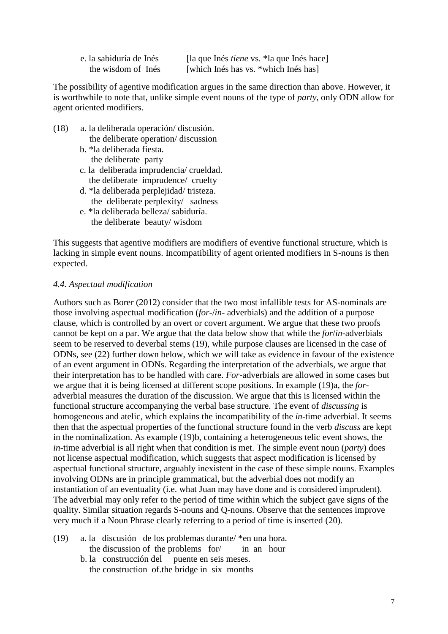| e. la sabiduría de Inés | [la que Inés <i>tiene</i> vs. *la que Inés hace] |
|-------------------------|--------------------------------------------------|
| the wisdom of Inés      | [which Inés has vs. *which Inés has]             |

The possibility of agentive modification argues in the same direction than above. However, it is worthwhile to note that, unlike simple event nouns of the type of *party*, only ODN allow for agent oriented modifiers.

- (18) a. la deliberada operación/ discusión. the deliberate operation/ discussion
	- b. \*la deliberada fiesta. the deliberate party
	- c. la deliberada imprudencia/ crueldad. the deliberate imprudence/ cruelty
	- d. \*la deliberada perplejidad/ tristeza. the deliberate perplexity/ sadness
	- e. \*la deliberada belleza/ sabiduría. the deliberate beauty/ wisdom

This suggests that agentive modifiers are modifiers of eventive functional structure, which is lacking in simple event nouns. Incompatibility of agent oriented modifiers in S-nouns is then expected.

### *4.4. Aspectual modification*

Authors such as Borer (2012) consider that the two most infallible tests for AS-nominals are those involving aspectual modification (*for*-/*in*- adverbials) and the addition of a purpose clause, which is controlled by an overt or covert argument. We argue that these two proofs cannot be kept on a par. We argue that the data below show that while the *for*/*in*-adverbials seem to be reserved to deverbal stems (19), while purpose clauses are licensed in the case of ODNs, see (22) further down below, which we will take as evidence in favour of the existence of an event argument in ODNs. Regarding the interpretation of the adverbials, we argue that their interpretation has to be handled with care. *For*-adverbials are allowed in some cases but we argue that it is being licensed at different scope positions. In example [\(19\)a](#page-6-0), the *for*adverbial measures the duration of the discussion. We argue that this is licensed within the functional structure accompanying the verbal base structure. The event of *discussing* is homogeneous and atelic, which explains the incompatibility of the *in*-time adverbial. It seems then that the aspectual properties of the functional structure found in the verb *discuss* are kept in the nominalization. As example [\(19\)b](#page-6-0), containing a heterogeneous telic event shows, the *in*-time adverbial is all right when that condition is met. The simple event noun (*party*) does not license aspectual modification, which suggests that aspect modification is licensed by aspectual functional structure, arguably inexistent in the case of these simple nouns. Examples involving ODNs are in principle grammatical, but the adverbial does not modify an instantiation of an eventuality (i.e. what Juan may have done and is considered imprudent). The adverbial may only refer to the period of time within which the subject gave signs of the quality. Similar situation regards S-nouns and Q-nouns. Observe that the sentences improve very much if a Noun Phrase clearly referring to a period of time is inserted [\(20\).](#page-7-0)

- <span id="page-6-0"></span>(19) a. la discusión de los problemas durante/ \*en una hora. the discussion of the problems for/ in an hour
	- b. la construcción del puente en seis meses. the construction of.the bridge in six months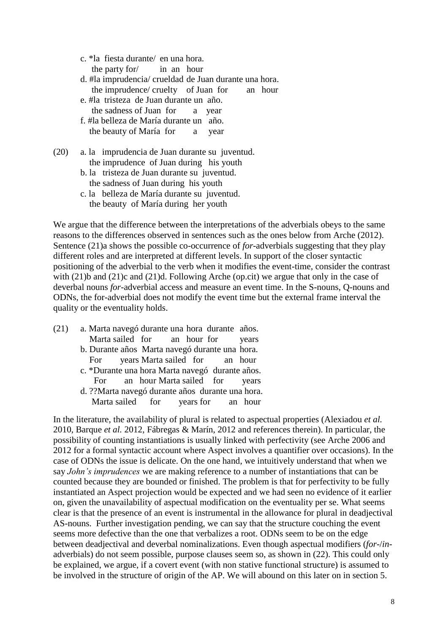c. \*la fiesta durante/ en una hora. the party for/ in an hour

- d. #la imprudencia/ crueldad de Juan durante una hora. the imprudence/ cruelty of Juan for an hour
- e. #la tristeza de Juan durante un año.
- the sadness of Juan for a year
- f. #la belleza de María durante un año.
- the beauty of María for a year
- <span id="page-7-0"></span>(20) a. la imprudencia de Juan durante su juventud. the imprudence of Juan during his youth
	- b. la tristeza de Juan durante su juventud. the sadness of Juan during his youth
	- c. la belleza de María durante su juventud. the beauty of María during her youth

We argue that the difference between the interpretations of the adverbials obeys to the same reasons to the differences observed in sentences such as the ones below from Arche (2012). Sentence [\(21\)a](#page-7-1) shows the possible co-occurrence of *for*-adverbials suggesting that they play different roles and are interpreted at different levels. In support of the closer syntactic positioning of the adverbial to the verb when it modifies the event-time, consider the contrast with [\(21\)b](#page-7-1) and [\(21\)c](#page-7-1) and [\(21\)d](#page-7-1). Following Arche (op.cit) we argue that only in the case of deverbal nouns *for*-adverbial access and measure an event time. In the S-nouns, Q-nouns and ODNs, the for-adverbial does not modify the event time but the external frame interval the quality or the eventuality holds.

<span id="page-7-1"></span>(21) a. Marta navegó durante una hora durante años. Marta sailed for an hour for years b. Durante años Marta navegó durante una hora. For years Marta sailed for an hour c. \*Durante una hora Marta navegó durante años. For an hour Marta sailed for years d. ??Marta navegó durante años durante una hora. Marta sailed for years for an hour

In the literature, the availability of plural is related to aspectual properties (Alexiadou *et al.* 2010, Barque *et al.* 2012, Fábregas & Marín, 2012 and references therein). In particular, the possibility of counting instantiations is usually linked with perfectivity (see Arche 2006 and 2012 for a formal syntactic account where Aspect involves a quantifier over occasions). In the case of ODNs the issue is delicate. On the one hand, we intuitively understand that when we say *John's imprudences* we are making reference to a number of instantiations that can be counted because they are bounded or finished. The problem is that for perfectivity to be fully instantiated an Aspect projection would be expected and we had seen no evidence of it earlier on, given the unavailability of aspectual modification on the eventuality per se. What seems clear is that the presence of an event is instrumental in the allowance for plural in deadjectival AS-nouns. Further investigation pending, we can say that the structure couching the event seems more defective than the one that verbalizes a root. ODNs seem to be on the edge between deadjectival and deverbal nominalizations. Even though aspectual modifiers (*for*-/*in*adverbials) do not seem possible, purpose clauses seem so, as shown in [\(22\).](#page-8-0) This could only be explained, we argue, if a covert event (with non stative functional structure) is assumed to be involved in the structure of origin of the AP. We will abound on this later on in section 5.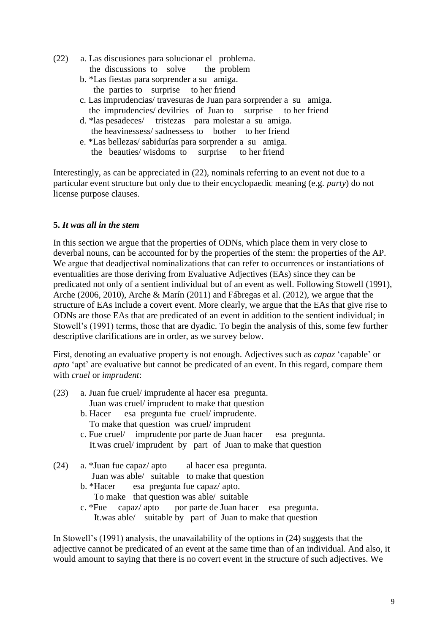- <span id="page-8-0"></span>(22) a. Las discusiones para solucionar el problema. the discussions to solve the problem
	- b. \*Las fiestas para sorprender a su amiga. the parties to surprise to her friend
	- c. Las imprudencias/ travesuras de Juan para sorprender a su amiga. the imprudencies/ devilries of Juan to surprise to her friend
	- d. \*las pesadeces/ tristezas para molestar a su amiga. the heavinessess/ sadnessess to bother to her friend
	- e. \*Las bellezas/ sabidurías para sorprender a su amiga. the beauties/ wisdoms to surprise to her friend

Interestingly, as can be appreciated in [\(22\),](#page-8-0) nominals referring to an event not due to a particular event structure but only due to their encyclopaedic meaning (e.g. *party*) do not license purpose clauses.

## **5.** *It was all in the stem*

In this section we argue that the properties of ODNs, which place them in very close to deverbal nouns, can be accounted for by the properties of the stem: the properties of the AP. We argue that deadjectival nominalizations that can refer to occurrences or instantiations of eventualities are those deriving from Evaluative Adjectives (EAs) since they can be predicated not only of a sentient individual but of an event as well. Following Stowell (1991), Arche (2006, 2010), Arche & Marín (2011) and Fábregas et al. (2012), we argue that the structure of EAs include a covert event. More clearly, we argue that the EAs that give rise to ODNs are those EAs that are predicated of an event in addition to the sentient individual; in Stowell's (1991) terms, those that are dyadic. To begin the analysis of this, some few further descriptive clarifications are in order, as we survey below.

First, denoting an evaluative property is not enough. Adjectives such as *capaz* 'capable' or *apto* 'apt' are evaluative but cannot be predicated of an event. In this regard, compare them with *cruel* or *imprudent*:

- (23) a. Juan fue cruel/ imprudente al hacer esa pregunta. Juan was cruel/ imprudent to make that question
	- b. Hacer esa pregunta fue cruel/ imprudente. To make that question was cruel/ imprudent
	- c. Fue cruel/ imprudente por parte de Juan hacer esa pregunta. It.was cruel/ imprudent by part of Juan to make that question
- <span id="page-8-1"></span>(24) a. \*Juan fue capaz/ apto al hacer esa pregunta. Juan was able/ suitable to make that question
	- b. \*Hacer esa pregunta fue capaz/ apto. To make that question was able/ suitable
	- c. \*Fue capaz/ apto por parte de Juan hacer esa pregunta. It.was able/ suitable by part of Juan to make that question

In Stowell's (1991) analysis, the unavailability of the options in [\(24\)](#page-8-1) suggests that the adjective cannot be predicated of an event at the same time than of an individual. And also, it would amount to saying that there is no covert event in the structure of such adjectives. We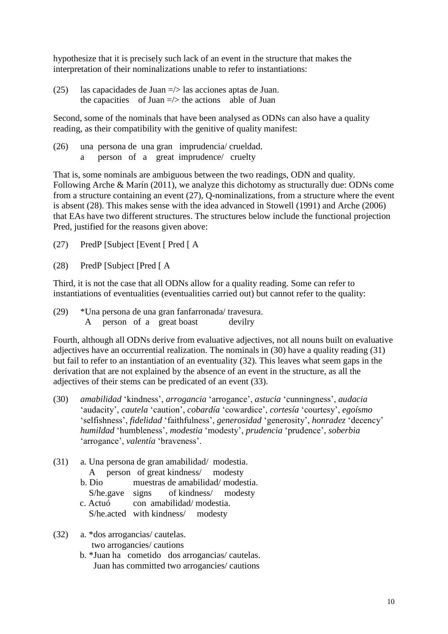hypothesize that it is precisely such lack of an event in the structure that makes the interpretation of their nominalizations unable to refer to instantiations:

(25) las capacidades de Juan =/> las acciones aptas de Juan. the capacities of Juan  $\Rightarrow$  the actions able of Juan

Second, some of the nominals that have been analysed as ODNs can also have a quality reading, as their compatibility with the genitive of quality manifest:

(26) una persona de una gran imprudencia/ crueldad. a person of a great imprudence/ cruelty

That is, some nominals are ambiguous between the two readings, ODN and quality. Following Arche & Marín (2011), we analyze this dichotomy as structurally due: ODNs come from a structure containing an event [\(27\),](#page-9-0) Q-nominalizations, from a structure where the event is absent [\(28\).](#page-9-1) This makes sense with the idea advanced in Stowell (1991) and Arche (2006) that EAs have two different structures. The structures below include the functional projection Pred, justified for the reasons given above:

- <span id="page-9-0"></span>(27) PredP [Subject [Event [ Pred [ A
- <span id="page-9-1"></span>(28) PredP [Subject [Pred [ A

Third, it is not the case that all ODNs allow for a quality reading. Some can refer to instantiations of eventualities (eventualities carried out) but cannot refer to the quality:

(29) \*Una persona de una gran fanfarronada/ travesura. A person of a great boast devilry

Fourth, although all ODNs derive from evaluative adjectives, not all nouns built on evaluative adjectives have an occurrential realization. The nominals in [\(30\)](#page-9-2) have a quality reading [\(31\)](#page-9-3) but fail to refer to an instantiation of an eventuality [\(32\).](#page-9-4) This leaves what seem gaps in the derivation that are not explained by the absence of an event in the structure, as all the adjectives of their stems can be predicated of an event [\(33\).](#page-10-0)

- <span id="page-9-2"></span>(30) *amabilidad* 'kindness', *arrogancia* 'arrogance', *astucia* 'cunningness', *audacia* 'audacity', *cautela* 'caution', *cobardía* 'cowardice', *cortesía* 'courtesy', *egoísmo* 'selfishness', *fidelidad* 'faithfulness', *generosidad* 'generosity', *honradez* 'decency' *humildad* 'humbleness', *modestia* 'modesty', *prudencia* 'prudence', *soberbia* 'arrogance', *valentía* 'braveness'.
- <span id="page-9-3"></span>(31) a. Una persona de gran amabilidad/ modestia. A person of great kindness/ modesty b. Dio muestras de amabilidad/ modestia.
	- S/he.gave signs of kindness/ modesty c. Actuó con amabilidad/ modestia.

S/he.acted with kindness/ modesty

- <span id="page-9-4"></span>(32) a. \*dos arrogancias/ cautelas. two arrogancies/ cautions
	- b. \*Juan ha cometido dos arrogancias/ cautelas. Juan has committed two arrogancies/ cautions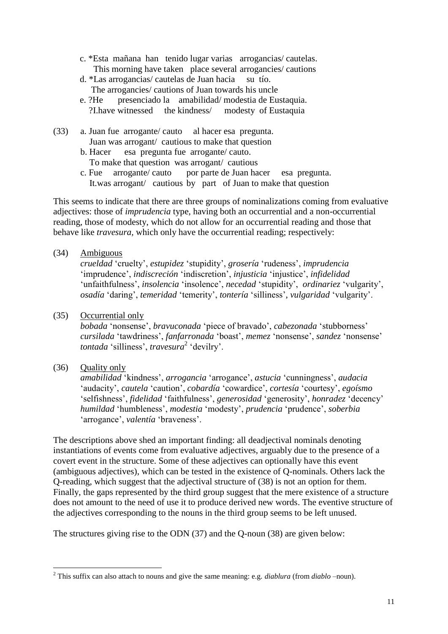- c. \*Esta mañana han tenido lugar varias arrogancias/ cautelas. This morning have taken place several arrogancies/ cautions
- d. \*Las arrogancias/ cautelas de Juan hacia su tío. The arrogancies/ cautions of Juan towards his uncle
- e. ?He presenciado la amabilidad/ modestia de Eustaquia. ?I.have witnessed the kindness/ modesty of Eustaquia
- <span id="page-10-0"></span>(33) a. Juan fue arrogante/ cauto al hacer esa pregunta. Juan was arrogant/ cautious to make that question
	- b. Hacer esa pregunta fue arrogante/ cauto. To make that question was arrogant/ cautious
	- c. Fue arrogante/ cauto por parte de Juan hacer esa pregunta. It.was arrogant/ cautious by part of Juan to make that question

This seems to indicate that there are three groups of nominalizations coming from evaluative adjectives: those of *imprudencia* type, having both an occurrential and a non-occurrential reading, those of modesty, which do not allow for an occurrential reading and those that behave like *travesura,* which only have the occurrential reading; respectively:

<span id="page-10-1"></span>(34) Ambiguous

*crueldad* 'cruelty', *estupidez* 'stupidity', *grosería* 'rudeness', *imprudencia* 'imprudence', *indiscreción* 'indiscretion', *injusticia* 'injustice', *infidelidad* 'unfaithfulness', *insolencia* 'insolence', *necedad* 'stupidity', *ordinariez* 'vulgarity', *osadía* 'daring', *temeridad* 'temerity', *tontería* 'silliness', *vulgaridad* 'vulgarity'.

(35) Occurrential only

*bobada* 'nonsense', *bravuconada* 'piece of bravado', *cabezonada* 'stubborness' *cursilada* 'tawdriness', *fanfarronada* 'boast', *memez* 'nonsense', *sandez* 'nonsense' *tontada* 'silliness', *travesura*<sup>2</sup> 'devilry'.

<span id="page-10-2"></span>(36) Quality only

*amabilidad* 'kindness', *arrogancia* 'arrogance', *astucia* 'cunningness', *audacia* 'audacity', *cautela* 'caution', *cobardía* 'cowardice', *cortesía* 'courtesy', *egoísmo* 'selfishness', *fidelidad* 'faithfulness', *generosidad* 'generosity', *honradez* 'decency' *humildad* 'humbleness', *modestia* 'modesty', *prudencia* 'prudence', *soberbia* 'arrogance', *valentía* 'braveness'.

The descriptions above shed an important finding: all deadjectival nominals denoting instantiations of events come from evaluative adjectives, arguably due to the presence of a covert event in the structure. Some of these adjectives can optionally have this event (ambiguous adjectives), which can be tested in the existence of Q-nominals. Others lack the Q-reading, which suggest that the adjectival structure of [\(38\)](#page-11-0) is not an option for them. Finally, the gaps represented by the third group suggest that the mere existence of a structure does not amount to the need of use it to produce derived new words. The eventive structure of the adjectives corresponding to the nouns in the third group seems to be left unused.

The structures giving rise to the ODN [\(37\)](#page-11-1) and the Q-noun [\(38\)](#page-11-0) are given below:

**<sup>.</sup>** <sup>2</sup> This suffix can also attach to nouns and give the same meaning: e.g. *diablura* (from *diablo* –noun).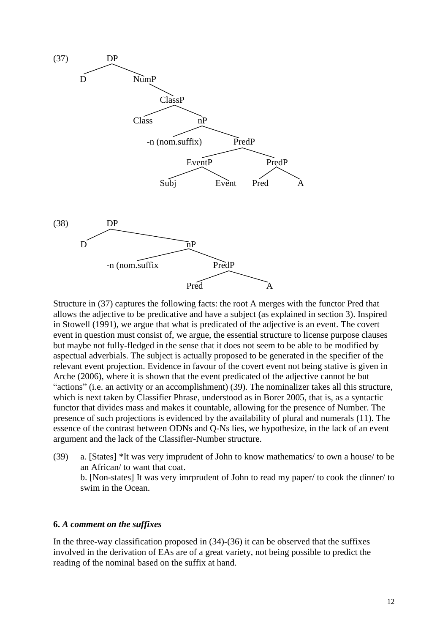<span id="page-11-1"></span>

<span id="page-11-0"></span>Structure in [\(37\)](#page-11-1) captures the following facts: the root A merges with the functor Pred that allows the adjective to be predicative and have a subject (as explained in section 3). Inspired in Stowell (1991), we argue that what is predicated of the adjective is an event. The covert event in question must consist of, we argue, the essential structure to license purpose clauses but maybe not fully-fledged in the sense that it does not seem to be able to be modified by aspectual adverbials. The subject is actually proposed to be generated in the specifier of the relevant event projection. Evidence in favour of the covert event not being stative is given in Arche (2006), where it is shown that the event predicated of the adjective cannot be but "actions" (i.e. an activity or an accomplishment) [\(39\).](#page-11-2) The nominalizer takes all this structure, which is next taken by Classifier Phrase, understood as in Borer 2005, that is, as a syntactic functor that divides mass and makes it countable, allowing for the presence of Number. The presence of such projections is evidenced by the availability of plural and numerals [\(11\).](#page-4-3) The essence of the contrast between ODNs and Q-Ns lies, we hypothesize, in the lack of an event argument and the lack of the Classifier-Number structure.

<span id="page-11-2"></span>(39) a. [States] \*It was very imprudent of John to know mathematics/ to own a house/ to be an African/ to want that coat. b. [Non-states] It was very imrprudent of John to read my paper/ to cook the dinner/ to swim in the Ocean.

#### **6.** *A comment on the suffixes*

In the three-way classification proposed in [\(34\)](#page-10-1)[-\(36\)](#page-10-2) it can be observed that the suffixes involved in the derivation of EAs are of a great variety, not being possible to predict the reading of the nominal based on the suffix at hand.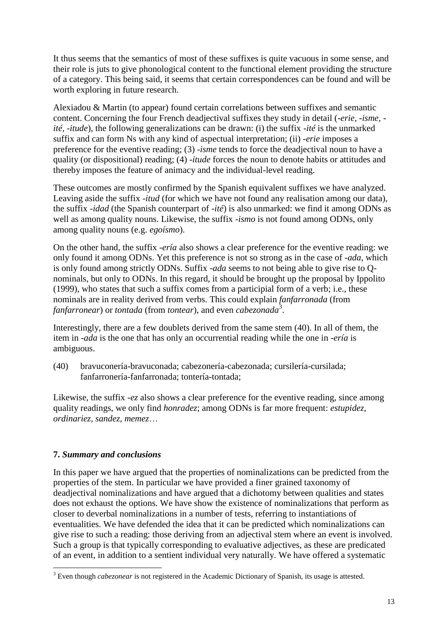It thus seems that the semantics of most of these suffixes is quite vacuous in some sense, and their role is juts to give phonological content to the functional element providing the structure of a category. This being said, it seems that certain correspondences can be found and will be worth exploring in future research.

Alexiadou & Martin (to appear) found certain correlations between suffixes and semantic content. Concerning the four French deadjectival suffixes they study in detail (-*erie, -isme, ité, -itude*), the following generalizations can be drawn: (i) the suffix *-ité* is the unmarked suffix and can form Ns with any kind of aspectual interpretation; (ii) *-erie* imposes a preference for the eventive reading; (3) *-isme* tends to force the deadjectival noun to have a quality (or dispositional) reading; (4) -*itude* forces the noun to denote habits or attitudes and thereby imposes the feature of animacy and the individual-level reading.

These outcomes are mostly confirmed by the Spanish equivalent suffixes we have analyzed. Leaving aside the suffix *-itud* (for which we have not found any realisation among our data), the suffix *-idad* (the Spanish counterpart of *-ité*) is also unmarked: we find it among ODNs as well as among quality nouns. Likewise, the suffix *-ismo* is not found among ODNs, only among quality nouns (e.g. *egoísmo*).

On the other hand, the suffix *-ería* also shows a clear preference for the eventive reading: we only found it among ODNs. Yet this preference is not so strong as in the case of *-ada*, which is only found among strictly ODNs. Suffix *-ada* seems to not being able to give rise to Qnominals, but only to ODNs. In this regard, it should be brought up the proposal by Ippolito (1999), who states that such a suffix comes from a participial form of a verb; i.e., these nominals are in reality derived from verbs. This could explain *fanfarronada* (from *fanfarronear*) or *tontada* (from *tontear*), and even *cabezonada*<sup>3</sup> .

Interestingly, there are a few doublets derived from the same stem [\(40\).](#page-12-0) In all of them, the item in *-ada* is the one that has only an occurrential reading while the one in *-ería* is ambiguous.

<span id="page-12-0"></span>(40) bravuconería-bravuconada; cabezonería-cabezonada; cursilería-cursilada; fanfarronería-fanfarronada; tontería-tontada;

Likewise, the suffix *-ez* also shows a clear preference for the eventive reading, since among quality readings, we only find *honradez*; among ODNs is far more frequent: *estupidez, ordinariez, sandez, memez*…

## **7.** *Summary and conclusions*

**.** 

In this paper we have argued that the properties of nominalizations can be predicted from the properties of the stem. In particular we have provided a finer grained taxonomy of deadjectival nominalizations and have argued that a dichotomy between qualities and states does not exhaust the options. We have show the existence of nominalizations that perform as closer to deverbal nominalizations in a number of tests, referring to instantiations of eventualities. We have defended the idea that it can be predicted which nominalizations can give rise to such a reading: those deriving from an adjectival stem where an event is involved. Such a group is that typically corresponding to evaluative adjectives, as these are predicated of an event, in addition to a sentient individual very naturally. We have offered a systematic

<sup>&</sup>lt;sup>3</sup> Even though *cabezonear* is not registered in the Academic Dictionary of Spanish, its usage is attested.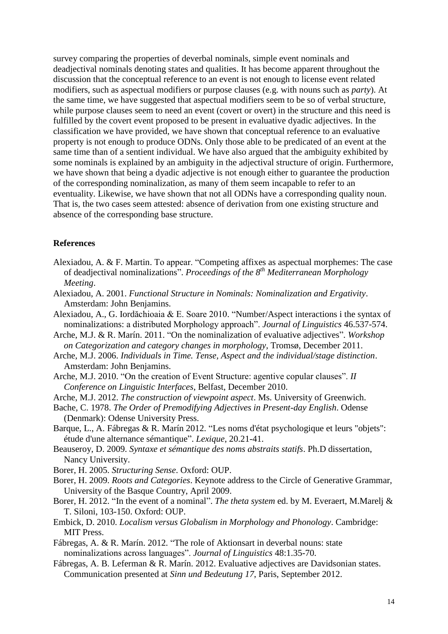survey comparing the properties of deverbal nominals, simple event nominals and deadjectival nominals denoting states and qualities. It has become apparent throughout the discussion that the conceptual reference to an event is not enough to license event related modifiers, such as aspectual modifiers or purpose clauses (e.g. with nouns such as *party*). At the same time, we have suggested that aspectual modifiers seem to be so of verbal structure, while purpose clauses seem to need an event (covert or overt) in the structure and this need is fulfilled by the covert event proposed to be present in evaluative dyadic adjectives. In the classification we have provided, we have shown that conceptual reference to an evaluative property is not enough to produce ODNs. Only those able to be predicated of an event at the same time than of a sentient individual. We have also argued that the ambiguity exhibited by some nominals is explained by an ambiguity in the adjectival structure of origin. Furthermore, we have shown that being a dyadic adjective is not enough either to guarantee the production of the corresponding nominalization, as many of them seem incapable to refer to an eventuality. Likewise, we have shown that not all ODNs have a corresponding quality noun. That is, the two cases seem attested: absence of derivation from one existing structure and absence of the corresponding base structure.

#### **References**

- Alexiadou, A. & F. Martin. To appear. "Competing affixes as aspectual morphemes: The case of deadjectival nominalizations". *Proceedings of the 8 th Mediterranean Morphology Meeting*.
- Alexiadou, A. 2001. *Functional Structure in Nominals: Nominalization and Ergativity*. Amsterdam: John Benjamins.
- Alexiadou, A., G. Iordăchioaia & E. Soare 2010. "Number/Aspect interactions i the syntax of nominalizations: a distributed Morphology approach". *Journal of Linguistics* 46.537-574.
- Arche, M.J. & R. Marín. 2011. "On the nominalization of evaluative adjectives". *Workshop on Categorization and category changes in morphology,* Tromsø, December 2011.
- Arche, M.J. 2006. *Individuals in Time. Tense, Aspect and the individual/stage distinction*. Amsterdam: John Benjamins.
- Arche, M.J. 2010. "On the creation of Event Structure: agentive copular clauses". *II Conference on Linguistic Interfaces*, Belfast, December 2010.
- Arche, M.J. 2012. *The construction of viewpoint aspect*. Ms. University of Greenwich.
- Bache, C. 1978. *The Order of Premodifying Adjectives in Present-day English*. Odense (Denmark): Odense University Press.
- Barque, L., A. Fábregas & R. Marín 2012. "Les noms d'état psychologique et leurs "objets": étude d'une alternance sémantique". *Lexique*, 20.21-41.
- Beauseroy, D. 2009. *Syntaxe et sémantique des noms abstraits statifs*. Ph.D dissertation, Nancy University.
- Borer, H. 2005. *Structuring Sense*. Oxford: OUP.
- Borer, H. 2009. *[Roots and Categories](http://www-bcf.usc.edu/~borer/rootscategories.pdf)*. Keynote address to the Circle of Generative Grammar, University of the Basque Country, April 2009.
- Borer, H. 2012. "In the event of a nominal". *The theta system* ed. by M. Everaert, M.Marelj & T. Siloni, 103-150. Oxford: OUP.
- Embick, D. 2010. *Localism versus Globalism in Morphology and Phonology*. Cambridge: MIT Press.
- Fábregas, A. & R. Marín. 2012. "The role of Aktionsart in deverbal nouns: state nominalizations across languages". *Journal of Linguistics* 48:1.35-70.
- Fábregas, A. B. Leferman & R. Marín. 2012. Evaluative adjectives are Davidsonian states. Communication presented at *Sinn und Bedeutung 17*, Paris, September 2012.